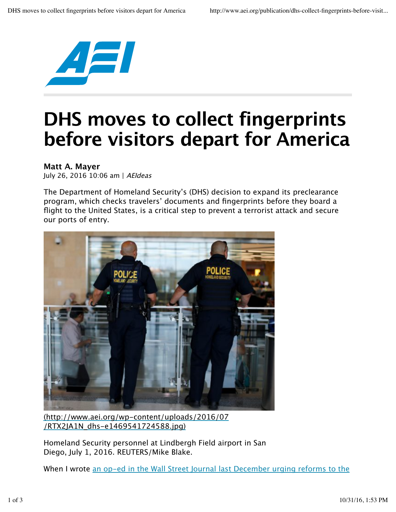

## **DHS moves to collect fingerprints before visitors depart for America**

**Matt A. Mayer** July 26, 2016 10:06 am | AEIdeas

The Department of Homeland Security's (DHS) decision to expand its preclearance program, which checks travelers' documents and fingerprints before they board a flight to the United States, is a critical step to prevent a terrorist attack and secure our ports of entry.



(http://www.aei.org/wp-content/uploads/2016/07 /RTX2JA1N\_dhs-e1469541724588.jpg)

Homeland Security personnel at Lindbergh Field airport in San Diego, July 1, 2016. REUTERS/Mike Blake.

When I wrote an op-ed in the Wall Street Journal last December urging reforms to the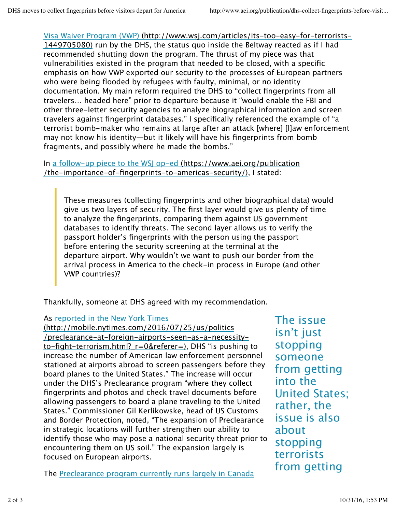Visa Waiver Program (VWP) (http://www.wsj.com/articles/its-too-easy-for-terrorists-1449705080) run by the DHS, the status quo inside the Beltway reacted as if I had recommended shutting down the program. The thrust of my piece was that vulnerabilities existed in the program that needed to be closed, with a specific emphasis on how VWP exported our security to the processes of European partners who were being flooded by refugees with faulty, minimal, or no identity documentation. My main reform required the DHS to "collect fingerprints from all travelers… headed here" prior to departure because it "would enable the FBI and other three-letter security agencies to analyze biographical information and screen travelers against fingerprint databases." I specifically referenced the example of "a terrorist bomb-maker who remains at large after an attack [where] [l]aw enforcement may not know his identity—but it likely will have his fingerprints from bomb fragments, and possibly where he made the bombs."

In a follow-up piece to the WSJ op-ed (https://www.aei.org/publication /the-importance-of-fingerprints-to-americas-security/), I stated:

These measures (collecting fingerprints and other biographical data) would give us two layers of security. The first layer would give us plenty of time to analyze the fingerprints, comparing them against US government databases to identify threats. The second layer allows us to verify the passport holder's fingerprints with the person using the passport before entering the security screening at the terminal at the departure airport. Why wouldn't we want to push our border from the arrival process in America to the check-in process in Europe (and other VWP countries)?

Thankfully, someone at DHS agreed with my recommendation.

As reported in the New York Times

(http://mobile.nytimes.com/2016/07/25/us/politics /preclearance-at-foreign-airports-seen-as-a-necessityto-fight-terrorism.html?\_r=0&referer=), DHS "is pushing to increase the number of American law enforcement personnel stationed at airports abroad to screen passengers before they board planes to the United States." The increase will occur under the DHS's Preclearance program "where they collect fingerprints and photos and check travel documents before allowing passengers to board a plane traveling to the United States." Commissioner Gil Kerlikowske, head of US Customs and Border Protection, noted, "The expansion of Preclearance in strategic locations will further strengthen our ability to identify those who may pose a national security threat prior to encountering them on US soil." The expansion largely is focused on European airports.

The Preclearance program currently runs largely in Canada

The issue isn't just stopping someone from getting into the United States; rather, the issue is also about stopping terrorists from getting